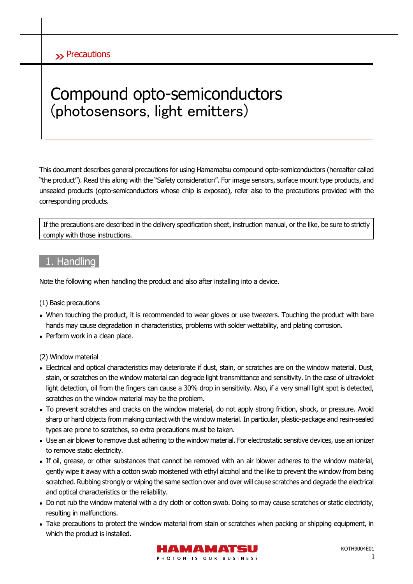# Compound opto-semiconductors (photosensors, light emitters)

This document describes general precautions for using Hamamatsu compound opto-semiconductors (hereafter called "the product"). Read this along with the "Safety consideration". For image sensors, surface mount type products, and unsealed products (opto-semiconductors whose chip is exposed), refer also to the precautions provided with the corresponding products.

If the precautions are described in the delivery specification sheet, instruction manual, or the like, be sure to strictly comply with those instructions.

# 1. Handling

Note the following when handling the product and also after installing into a device.

#### (1) Basic precautions

- When touching the product, it is recommended to wear gloves or use tweezers. Touching the product with bare hands may cause degradation in characteristics, problems with solder wettability, and plating corrosion.
- Perform work in a clean place.

(2) Window material

- Electrical and optical characteristics may deteriorate if dust, stain, or scratches are on the window material. Dust, stain, or scratches on the window material can degrade light transmittance and sensitivity.In the case of ultraviolet light detection, oil from the fingers can cause a 30% drop in sensitivity. Also, if a very small light spot is detected, scratches on the window material may be the problem.
- To prevent scratches and cracks on the window material, do not apply strong friction, shock, or pressure. Avoid sharp or hard objects from making contact with the window material. In particular, plastic-package and resin-sealed types are prone to scratches, so extra precautions must be taken.
- Use an air blower to remove dust adhering to the window material. For electrostatic sensitive devices, use an ionizer to remove static electricity.
- If oil, grease, or other substances that cannot be removed with an air blower adheres to the window material, gently wipe it away with a cotton swab moistened with ethyl alcohol and the like to prevent the window from being scratched. Rubbing strongly or wiping the same section over and over will cause scratches and degrade the electrical and optical characteristics or the reliability.
- Do not rub the window material with a dry cloth or cotton swab. Doing so may cause scratches or static electricity, resulting in malfunctions.
- Take precautions to protect the window material from stain or scratches when packing or shipping equipment, in which the product is installed.

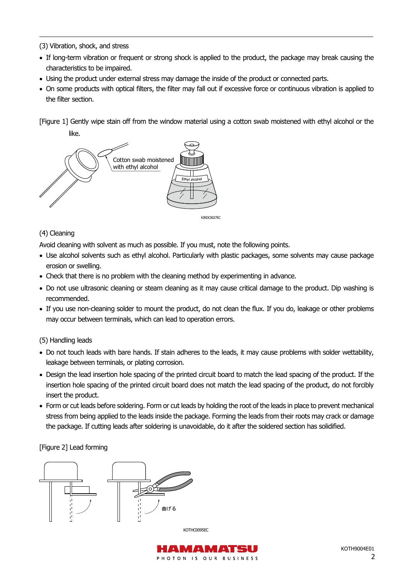(3) Vibration, shock, and stress

- If long-term vibration or frequent or strong shock is applied to the product, the package may break causing the characteristics to be impaired.
- Using the product under external stress may damage the inside of the product or connected parts.
- On some products with optical filters, the filter may fall out if excessive force or continuous vibration is applied to the filter section.

[Figure 1] Gently wipe stain off from the window material using a cotton swab moistened with ethyl alcohol or the like.



#### (4) Cleaning

Avoid cleaning with solvent as much as possible. If you must, note the following points.

- Use alcohol solvents such as ethyl alcohol. Particularly with plastic packages, some solvents may cause package erosion or swelling.
- Check that there is no problem with the cleaning method by experimenting in advance.
- Do not use ultrasonic cleaning or steam cleaning as it may cause critical damage to the product. Dip washing is recommended.
- If you use non-cleaning solder to mount the product, do not clean the flux. If you do, leakage or other problems may occur between terminals, which can lead to operation errors.

(5) Handling leads

- Do not touch leads with bare hands. If stain adheres to the leads, it may cause problems with solder wettability, leakage between terminals, or plating corrosion.
- Design the lead insertion hole spacing of the printed circuit board to match the lead spacing of the product. If the insertion hole spacing of the printed circuit board does not match the lead spacing of the product, do not forcibly insert the product.
- Form or cut leads before soldering. Form or cut leads by holding the root of the leads in place to prevent mechanical stress from being applied to the leads inside the package. Forming the leads from their roots may crack or damage the package. If cutting leads after soldering is unavoidable, do it after the soldered section has solidified.

[Figure 2] Lead forming



**KOTHC0095EC** 

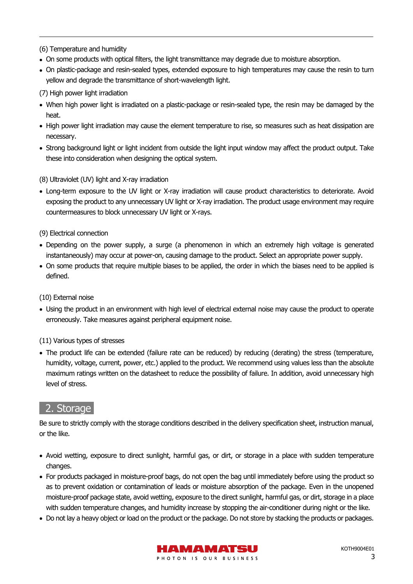#### (6) Temperature and humidity

- On some products with optical filters, the light transmittance may degrade due to moisture absorption.
- On plastic-package and resin-sealed types, extended exposure to high temperatures may cause the resin to turn yellow and degrade the transmittance of short-wavelength light.
- (7) High power light irradiation
- When high power light is irradiated on a plastic-package or resin-sealed type, the resin may be damaged by the heat.
- High power light irradiation may cause the element temperature to rise, so measures such as heat dissipation are necessary.
- Strong background light or light incident from outside the light input window may affect the product output. Take these into consideration when designing the optical system.
- (8) Ultraviolet (UV) light and X-ray irradiation
- Long-term exposure to the UV light or X-ray irradiation will cause product characteristics to deteriorate. Avoid exposing the product to any unnecessary UV light or X-ray irradiation. The product usage environment may require countermeasures to block unnecessary UV light or X-rays.
- (9) Electrical connection
- Depending on the power supply, a surge (a phenomenon in which an extremely high voltage is generated instantaneously) may occur at power-on, causing damage to the product. Select an appropriate power supply.
- On some products that require multiple biases to be applied, the order in which the biases need to be applied is defined.

#### (10) External noise

 Using the product in an environment with high level of electrical external noise may cause the product to operate erroneously. Take measures against peripheral equipment noise.

#### (11) Various types of stresses

 The product life can be extended (failure rate can be reduced) by reducing (derating) the stress (temperature, humidity, voltage, current, power, etc.) applied to the product. We recommend using values less than the absolute maximum ratings written on the datasheet to reduce the possibility of failure. In addition, avoid unnecessary high level of stress.

## 2. Storage

Be sure to strictly comply with the storage conditions described in the delivery specification sheet, instruction manual, or the like.

- Avoid wetting, exposure to direct sunlight, harmful gas, or dirt, or storage in a place with sudden temperature changes.
- For products packaged in moisture-proof bags, do not open the bag until immediately before using the product so as to prevent oxidation or contamination of leads or moisture absorption of the package. Even in the unopened moisture-proof package state, avoid wetting, exposure to the direct sunlight, harmful gas, or dirt, storage in a place with sudden temperature changes, and humidity increase by stopping the air-conditioner during night or the like.
- Do not lay a heavy object or load on the product or the package. Do not store by stacking the products or packages.

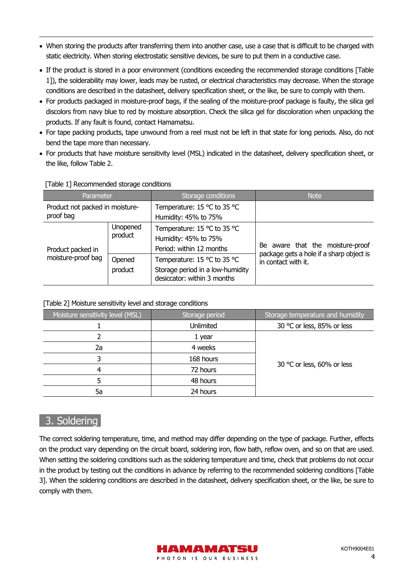- When storing the products after transferring them into another case, use a case that is difficult to be charged with static electricity. When storing electrostatic sensitive devices, be sure to put them in a conductive case.
- If the product is stored in a poor environment (conditions exceeding the recommended storage conditions [Table 1]), the solderability may lower, leads may be rusted, or electrical characteristics may decrease. When the storage conditions are described in the datasheet, delivery specification sheet, or the like, be sure to comply with them.
- For products packaged in moisture-proof bags, if the sealing of the moisture-proof package is faulty, the silica gel discolors from navy blue to red by moisture absorption. Check the silica gel for discoloration when unpacking the products. If any fault is found, contact Hamamatsu.
- For tape packing products, tape unwound from a reel must not be left in that state for long periods. Also, do not bend the tape more than necessary.
- For products that have moisture sensitivity level (MSL) indicated in the datasheet, delivery specification sheet, or the like, follow Table 2.

| Parameter                                    |                                                 | Storage conditions                                                                                                                                                                | <b>Note</b>                                                                                         |  |
|----------------------------------------------|-------------------------------------------------|-----------------------------------------------------------------------------------------------------------------------------------------------------------------------------------|-----------------------------------------------------------------------------------------------------|--|
| Product not packed in moisture-<br>proof bag |                                                 | Temperature: 15 °C to 35 °C<br>Humidity: 45% to 75%                                                                                                                               |                                                                                                     |  |
| Product packed in<br>moisture-proof bag      | <b>Unopened</b><br>product<br>Opened<br>product | Temperature: 15 °C to 35 °C<br>Humidity: 45% to 75%<br>Period: within 12 months<br>Temperature: 15 °C to 35 °C<br>Storage period in a low-humidity<br>desiccator: within 3 months | Be aware that the moisture-proof<br>package gets a hole if a sharp object is<br>in contact with it. |  |

#### [Table 1] Recommended storage conditions

#### [Table 2] Moisture sensitivity level and storage conditions

| Moisture sensitivity level (MSL) | Storage period   | Storage temperature and humidity |  |
|----------------------------------|------------------|----------------------------------|--|
|                                  | <b>Unlimited</b> | 30 °C or less, 85% or less       |  |
|                                  | 1 year           |                                  |  |
| 2a                               | 4 weeks          |                                  |  |
|                                  | 168 hours        |                                  |  |
| 4                                | 72 hours         | 30 °C or less, 60% or less       |  |
|                                  | 48 hours         |                                  |  |
| 5a                               | 24 hours         |                                  |  |

## 3. Soldering

The correct soldering temperature, time, and method may differ depending on the type of package. Further, effects on the product vary depending on the circuit board, soldering iron, flow bath, reflow oven, and so on that are used. When setting the soldering conditions such as the soldering temperature and time, check that problems do not occur in the product by testing out the conditions in advance by referring to the recommended soldering conditions [Table 3]. When the soldering conditions are described in the datasheet, delivery specification sheet, or the like, be sure to comply with them.

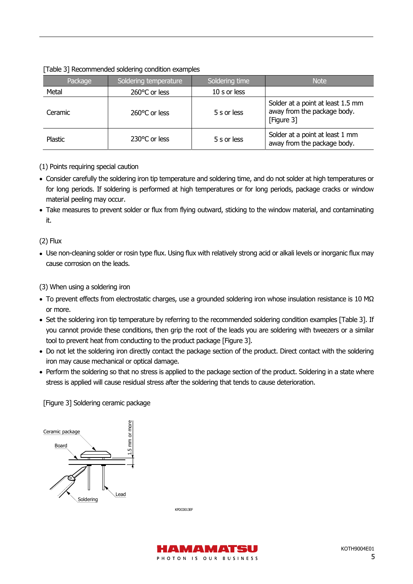#### [Table 3] Recommended soldering condition examples

| Package | Soldering temperature | Soldering time | <b>Note</b>                                                                    |
|---------|-----------------------|----------------|--------------------------------------------------------------------------------|
| Metal   | 260°C or less         | 10 s or less   |                                                                                |
| Ceramic | 260°C or less         | 5 s or less    | Solder at a point at least 1.5 mm<br>away from the package body.<br>[Figure 3] |
| Plastic | 230°C or less         | 5 s or less    | Solder at a point at least 1 mm<br>away from the package body.                 |

- (1) Points requiring special caution
- Consider carefully the soldering iron tip temperature and soldering time, and do not solder at high temperatures or for long periods. If soldering is performed at high temperatures or for long periods, package cracks or window material peeling may occur.
- Take measures to prevent solder or flux from flying outward, sticking to the window material, and contaminating it.

(2) Flux

- Use non-cleaning solder or rosin type flux. Using flux with relatively strong acid or alkali levels or inorganic flux may cause corrosion on the leads.
- (3) When using a soldering iron
- To prevent effects from electrostatic charges, use a grounded soldering iron whose insulation resistance is 10 MΩ or more.
- Set the soldering iron tip temperature by referring to the recommended soldering condition examples [Table 3]. If you cannot provide these conditions, then grip the root of the leads you are soldering with tweezers or a similar tool to prevent heat from conducting to the product package [Figure 3].
- Do not let the soldering iron directly contact the package section of the product. Direct contact with the soldering iron may cause mechanical or optical damage.
- Perform the soldering so that no stress is applied to the package section of the product. Soldering in a state where stress is applied will cause residual stress after the soldering that tends to cause deterioration.

[Figure 3] Soldering ceramic package



KPDC0013EF

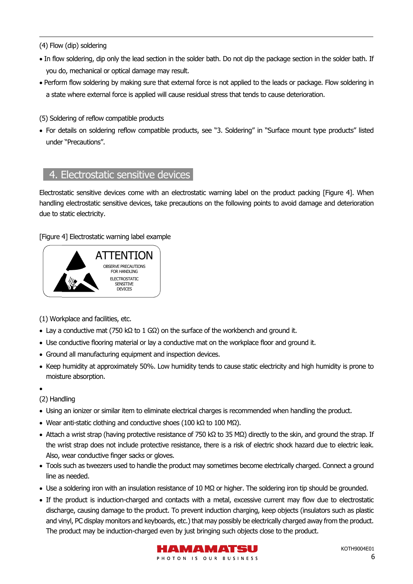(4) Flow (dip) soldering

- In flow soldering, dip only the lead section in the solder bath. Do not dip the package section in the solder bath. If you do, mechanical or optical damage may result.
- Perform flow soldering by making sure that external force is not applied to the leads or package. Flow soldering in a state where external force is applied will cause residual stress that tends to cause deterioration.
- (5) Soldering of reflow compatible products
- For details on soldering reflow compatible products, see "3. Soldering" in "Surface mount type products" listed under "Precautions".

# 4. Electrostatic sensitive devices

Electrostatic sensitive devices come with an electrostatic warning label on the product packing [Figure 4]. When handling electrostatic sensitive devices, take precautions on the following points to avoid damage and deterioration due to static electricity.

[Figure 4] Electrostatic warning label example



(1) Workplace and facilities, etc.

- Lay a conductive mat (750 kΩ to 1 GΩ) on the surface of the workbench and ground it.
- Use conductive flooring material or lay a conductive mat on the workplace floor and ground it.
- Ground all manufacturing equipment and inspection devices.
- Keep humidity at approximately 50%. Low humidity tends to cause static electricity and high humidity is prone to moisture absorption.

 $\bullet$ 

- (2) Handling
- Using an ionizer or similar item to eliminate electrical charges is recommended when handling the product.
- Wear anti-static clothing and conductive shoes (100 kΩ to 100 MΩ).
- Attach a wrist strap (having protective resistance of 750 kΩ to 35 MΩ) directly to the skin, and ground the strap. If the wrist strap does not include protective resistance, there is a risk of electric shock hazard due to electric leak. Also, wear conductive finger sacks or gloves.
- Tools such as tweezers used to handle the product may sometimes become electrically charged. Connect a ground line as needed.
- Use a soldering iron with an insulation resistance of 10 M $\Omega$  or higher. The soldering iron tip should be grounded.
- If the product is induction-charged and contacts with a metal, excessive current may flow due to electrostatic discharge, causing damage to the product. To prevent induction charging, keep objects (insulators such as plastic and vinyl, PC display monitors and keyboards, etc.) that may possibly be electrically charged away from the product. The product may be induction-charged even by just bringing such objects close to the product.

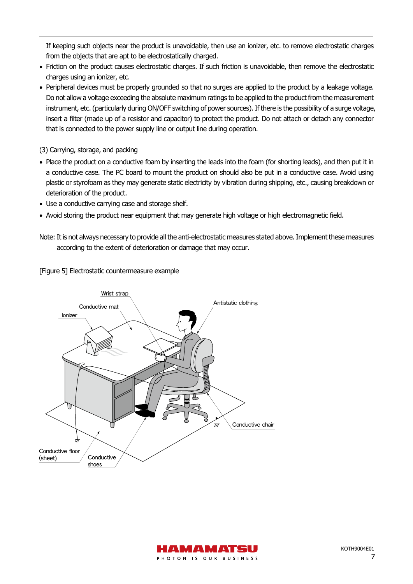If keeping such objects near the product is unavoidable, then use an ionizer, etc. to remove electrostatic charges from the objects that are apt to be electrostatically charged.

- Friction on the product causes electrostatic charges. If such friction is unavoidable, then remove the electrostatic charges using an ionizer, etc.
- Peripheral devices must be properly grounded so that no surges are applied to the product by a leakage voltage. Do not allow a voltage exceeding the absolute maximum ratings to be applied to the product from the measurement instrument, etc. (particularly during ON/OFF switching of power sources). If there is the possibility of a surge voltage, insert a filter (made up of a resistor and capacitor) to protect the product. Do not attach or detach any connector that is connected to the power supply line or output line during operation.
- (3) Carrying, storage, and packing
- Place the product on a conductive foam by inserting the leads into the foam (for shorting leads), and then put it in a conductive case. The PC board to mount the product on should also be put in a conductive case. Avoid using plastic or styrofoam as they may generate static electricity by vibration during shipping, etc., causing breakdown or deterioration of the product.
- Use a conductive carrying case and storage shelf.
- Avoid storing the product near equipment that may generate high voltage or high electromagnetic field.
- Note: It is not always necessary to provide all the anti-electrostatic measures stated above. Implement these measures according to the extent of deterioration or damage that may occur.

[Figure 5] Electrostatic countermeasure example



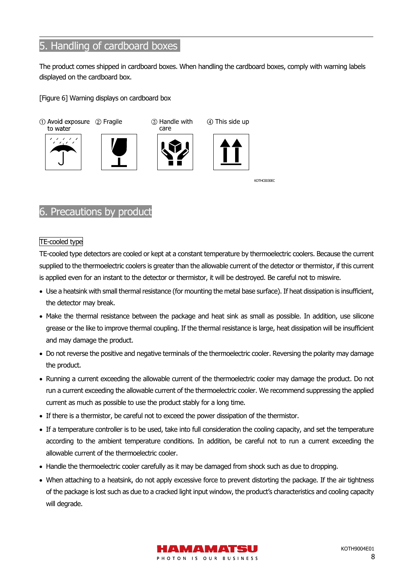# 5. Handling of cardboard boxes

The product comes shipped in cardboard boxes. When handling the cardboard boxes, comply with warning labels displayed on the cardboard box.

[Figure 6] Warning displays on cardboard box



## 6. Precautions by product

#### TE-cooled type

TE-cooled type detectors are cooled or kept at a constant temperature by thermoelectric coolers. Because the current supplied to the thermoelectric coolers is greater than the allowable current of the detector or thermistor, if this current is applied even for an instant to the detector or thermistor, it will be destroyed. Be careful not to miswire.

- Use a heatsink with small thermal resistance (for mounting the metal base surface). If heat dissipation is insufficient, the detector may break.
- Make the thermal resistance between the package and heat sink as small as possible. In addition, use silicone grease or the like to improve thermal coupling. If the thermal resistance is large, heat dissipation will be insufficient and may damage the product.
- Do not reverse the positive and negative terminals of the thermoelectric cooler. Reversing the polarity may damage the product.
- Running a current exceeding the allowable current of the thermoelectric cooler may damage the product. Do not run a current exceeding the allowable current of the thermoelectric cooler. We recommend suppressing the applied current as much as possible to use the product stably for a long time.
- If there is a thermistor, be careful not to exceed the power dissipation of the thermistor.
- If a temperature controller is to be used, take into full consideration the cooling capacity, and set the temperature according to the ambient temperature conditions. In addition, be careful not to run a current exceeding the allowable current of the thermoelectric cooler.
- Handle the thermoelectric cooler carefully as it may be damaged from shock such as due to dropping.
- When attaching to a heatsink, do not apply excessive force to prevent distorting the package. If the air tightness of the package is lost such as due to a cracked light input window, the product's characteristics and cooling capacity will degrade.